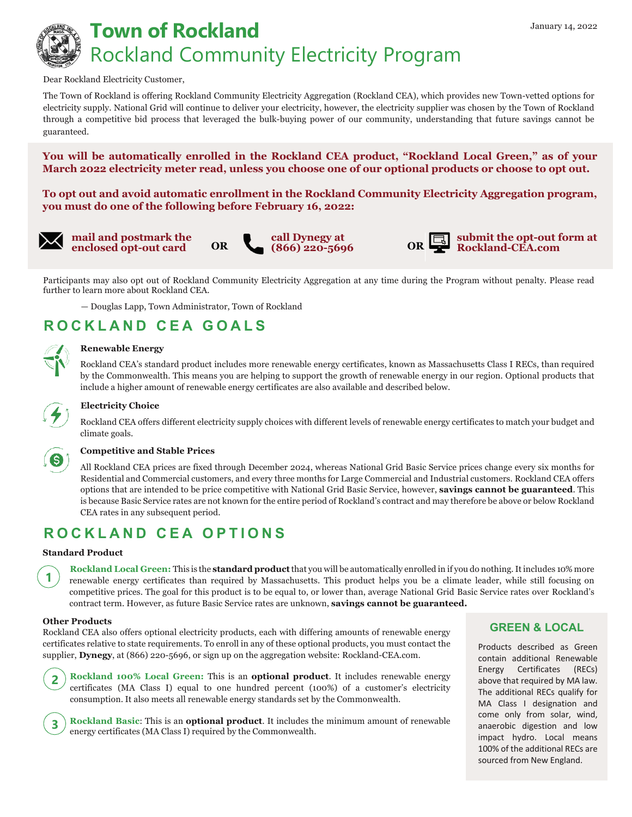# **Town of Rockland** *January 14, 2022* Rockland Community Electricity Program

#### Dear Rockland Electricity Customer,

The Town of Rockland is offering Rockland Community Electricity Aggregation (Rockland CEA), which provides new Town-vetted options for electricity supply. National Grid will continue to deliver your electricity, however, the electricity supplier was chosen by the Town of Rockland through a competitive bid process that leveraged the bulk-buying power of our community, understanding that future savings cannot be guaranteed.

**You will be automatically enrolled in the Rockland CEA product, "Rockland Local Green," as of your March 2022 electricity meter read, unless you choose one of our optional products or choose to opt out.** 

**To opt out and avoid automatic enrollment in the Rockland Community Electricity Aggregation program, you must do one of the following before February 16, 2022:** 

**mail and postmark the enclosed opt-out card OR**





**(866) 220-5696 OR submit the opt-out form at Rockland-CEA.com**

Participants may also opt out of Rockland Community Electricity Aggregation at any time during the Program without penalty. Please read further to learn more about Rockland CEA.

— Douglas Lapp, Town Administrator, Town of Rockland

## **ROCKLAND CEA GOALS**

#### **Renewable Energy**

Rockland CEA's standard product includes more renewable energy certificates, known as Massachusetts Class I RECs, than required by the Commonwealth. This means you are helping to support the growth of renewable energy in our region. Optional products that include a higher amount of renewable energy certificates are also available and described below.



#### **Electricity Choice**

Rockland CEA offers different electricity supply choices with different levels of renewable energy certificates to match your budget and climate goals.



**1**

#### **Competitive and Stable Prices**

All Rockland CEA prices are fixed through December 2024, whereas National Grid Basic Service prices change every six months for Residential and Commercial customers, and every three months for Large Commercial and Industrial customers. Rockland CEA offers options that are intended to be price competitive with National Grid Basic Service, however, **savings cannot be guaranteed**. This is because Basic Service rates are not known for the entire period of Rockland's contract and may therefore be above or below Rockland CEA rates in any subsequent period.

### **ROCKLAND CEA OPTIONS**

#### **Standard Product**

**Rockland Local Green:** This is the **standard product** that you will be automatically enrolled in if you do nothing. It includes 10% more renewable energy certificates than required by Massachusetts. This product helps you be a climate leader, while still focusing on competitive prices. The goal for this product is to be equal to, or lower than, average National Grid Basic Service rates over Rockland's contract term. However, as future Basic Service rates are unknown, **savings cannot be guaranteed.**

#### **Other Products**

**3**

Rockland CEA also offers optional electricity products, each with differing amounts of renewable energy certificates relative to state requirements. To enroll in any of these optional products, you must contact the supplier, **Dynegy**, at (866) 220-5696, or sign up on the aggregation website: Rockland-CEA.com.



**Rockland Basic**: This is an **optional product**. It includes the minimum amount of renewable energy certificates (MA Class I) required by the Commonwealth.

### **GREEN & LOCAL**

Products described as Green contain additional Renewable Energy Certificates (RECs) above that required by MA law. The additional RECs qualify for MA Class I designation and come only from solar, wind, anaerobic digestion and low impact hydro. Local means 100% of the additional RECs are sourced from New England.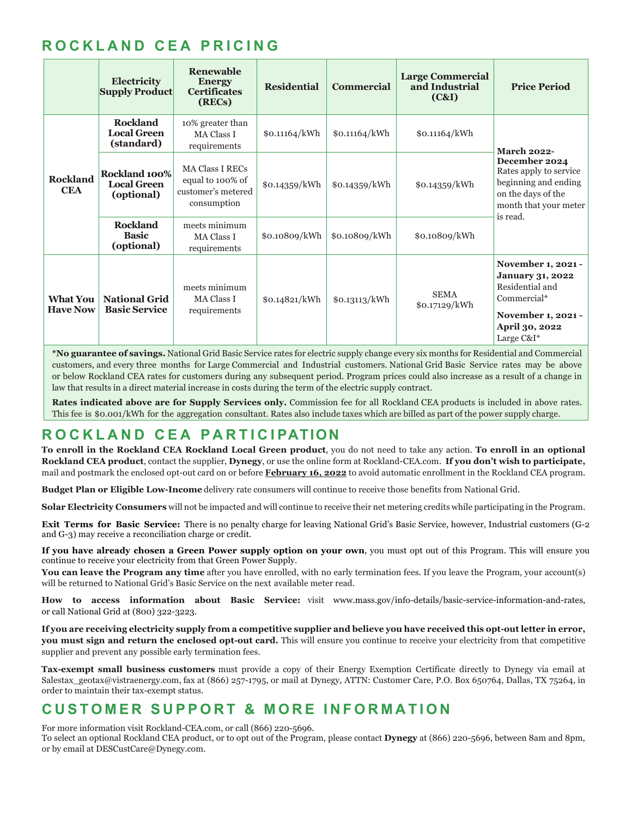## **ROCKLAND CEA PRICING**

|                                    | Electricity<br><b>Supply Product</b>                | Renewable<br><b>Energy</b><br><b>Certificates</b><br>(RECs)                     | <b>Residential</b> | <b>Commercial</b> | <b>Large Commercial</b><br>and Industrial<br>(C&I) | <b>Price Period</b>                                                                                                                              |
|------------------------------------|-----------------------------------------------------|---------------------------------------------------------------------------------|--------------------|-------------------|----------------------------------------------------|--------------------------------------------------------------------------------------------------------------------------------------------------|
| <b>Rockland</b><br><b>CEA</b>      | <b>Rockland</b><br><b>Local Green</b><br>(standard) | 10% greater than<br><b>MA Class I</b><br>requirements                           | \$0.11164/kWh      | \$0.11164/kWh     | \$0.11164/kWh                                      | <b>March 2022-</b><br>December 2024<br>Rates apply to service<br>beginning and ending<br>on the days of the<br>month that your meter<br>is read. |
|                                    | Rockland 100%<br><b>Local Green</b><br>(optional)   | <b>MA Class I RECs</b><br>equal to 100% of<br>customer's metered<br>consumption | \$0.14359/kWh      | \$0.14359/kWh     | \$0.14359/kWh                                      |                                                                                                                                                  |
|                                    | <b>Rockland</b><br><b>Basic</b><br>(optional)       | meets minimum<br><b>MA Class I</b><br>requirements                              | \$0.10809/kWh      | \$0.10809/kWh     | \$0.10809/kWh                                      |                                                                                                                                                  |
| <b>What You</b><br><b>Have Now</b> | <b>National Grid</b><br><b>Basic Service</b>        | meets minimum<br><b>MA Class I</b><br>requirements                              | \$0.14821/kWh      | \$0.13113/kWh     | <b>SEMA</b><br>\$0.17129/kWh                       | November 1, 2021 -<br><b>January 31, 2022</b><br>Residential and<br>Commercial*<br>November 1, 2021 -<br>April 30, 2022<br>Large C&I*            |

**\*No guarantee of savings.** National Grid Basic Service rates for electric supply change every six months for Residential and Commercial customers, and every three months for Large Commercial and Industrial customers. National Grid Basic Service rates may be above or below Rockland CEA rates for customers during any subsequent period. Program prices could also increase as a result of a change in law that results in a direct material increase in costs during the term of the electric supply contract.

**Rates indicated above are for Supply Services only.** Commission fee for all Rockland CEA products is included in above rates. This fee is \$0.001/kWh for the aggregation consultant. Rates also include taxes which are billed as part of the power supply charge.

## **ROCKLAND CEA P ARTICI PATION**

**To enroll in the Rockland CEA Rockland Local Green product**, you do not need to take any action. **To enroll in an optional Rockland CEA product**, contact the supplier, **Dynegy**, or use the online form at Rockland-CEA.com. **If you don't wish to participate,**  mail and postmark the enclosed opt-out card on or before **February 16, 2022** to avoid automatic enrollment in the Rockland CEA program.

**Budget Plan or Eligible Low-Income** delivery rate consumers will continue to receive those benefits from National Grid.

**Solar Electricity Consumers** will not be impacted and will continue to receive their net metering credits while participating in the Program.

**Exit Terms for Basic Service:** There is no penalty charge for leaving National Grid's Basic Service, however, Industrial customers (G-2 and G-3) may receive a reconciliation charge or credit.

**If you have already chosen a Green Power supply option on your own**, you must opt out of this Program. This will ensure you continue to receive your electricity from that Green Power Supply.

**You can leave the Program any time** after you have enrolled, with no early termination fees. If you leave the Program, your account(s) will be returned to National Grid's Basic Service on the next available meter read.

**How to access information about Basic Service:** visit www.mass.gov/info-details/basic-service-information-and-rates, or call National Grid at (800) 322-3223.

**If you are receiving electricity supply from a competitive supplier and believe you have received this opt-out letter in error, you must sign and return the enclosed opt-out card.** This will ensure you continue to receive your electricity from that competitive supplier and prevent any possible early termination fees.

**Tax-exempt small business customers** must provide a copy of their Energy Exemption Certificate directly to Dynegy via email at Salestax\_geotax@vistraenergy.com, fax at (866) 257-1795, or mail at Dynegy, ATTN: Customer Care, P.O. Box 650764, Dallas, TX 75264, in order to maintain their tax-exempt status.

## **CUSTOMER SUPPORT & MORE INFORMATION**

For more information visit Rockland-CEA.com, or call (866) 220-5696.

To select an optional Rockland CEA product, or to opt out of the Program, please contact **Dynegy** at (866) 220-5696, between 8am and 8pm, or by email at DESCustCare@Dynegy.com.